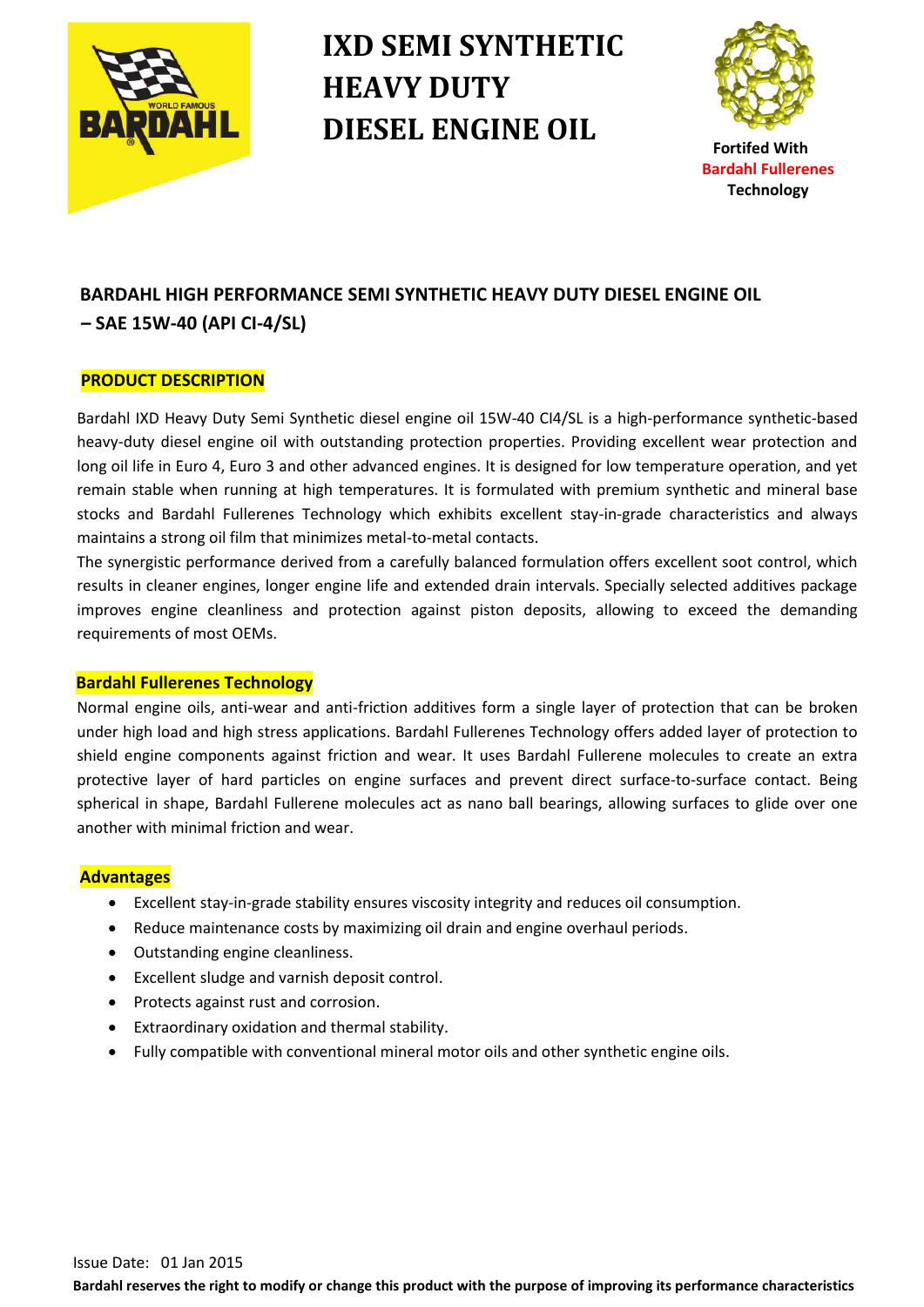

# **IXD SEMI SYNTHETIC HEAVY DUTY DIESEL ENGINE OIL**



## **BARDAHL HIGH PERFORMANCE SEMI SYNTHETIC HEAVY DUTY DIESEL ENGINE OIL – SAE 15W-40 (API CI-4/SL)**

#### **PRODUCT DESCRIPTION**

Bardahl IXD Heavy Duty Semi Synthetic diesel engine oil 15W-40 CI4/SL is a high-performance synthetic-based heavy-duty diesel engine oil with outstanding protection properties. Providing excellent wear protection and long oil life in Euro 4, Euro 3 and other advanced engines. It is designed for low temperature operation, and yet remain stable when running at high temperatures. It is formulated with premium synthetic and mineral base stocks and Bardahl Fullerenes Technology which exhibits excellent stay-in-grade characteristics and always maintains a strong oil film that minimizes metal-to-metal contacts.

The synergistic performance derived from a carefully balanced formulation offers excellent soot control, which results in cleaner engines, longer engine life and extended drain intervals. Specially selected additives package improves engine cleanliness and protection against piston deposits, allowing to exceed the demanding requirements of most OEMs.

#### **Bardahl Fullerenes Technology**

Normal engine oils, anti-wear and anti-friction additives form a single layer of protection that can be broken under high load and high stress applications. Bardahl Fullerenes Technology offers added layer of protection to shield engine components against friction and wear. It uses Bardahl Fullerene molecules to create an extra protective layer of hard particles on engine surfaces and prevent direct surface-to-surface contact. Being spherical in shape, Bardahl Fullerene molecules act as nano ball bearings, allowing surfaces to glide over one another with minimal friction and wear.

#### **Advantages**

- Excellent stay-in-grade stability ensures viscosity integrity and reduces oil consumption.
- Reduce maintenance costs by maximizing oil drain and engine overhaul periods.
- Outstanding engine cleanliness.
- Excellent sludge and varnish deposit control.
- Protects against rust and corrosion.
- Extraordinary oxidation and thermal stability.
- Fully compatible with conventional mineral motor oils and other synthetic engine oils.